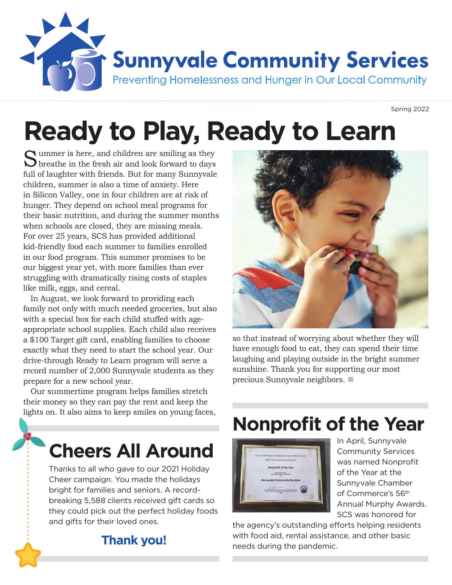

Spring 2022

# **Ready to Play, Ready to Learn**

Summer is here, and children are smiling as they  $\bigcup$  breathe in the fresh air and look forward to days full of laughter with friends. But for many Sunnyvale children, summer is also a time of anxiety. Here in Silicon Valley, one in four children are at risk of hunger. They depend on school meal programs for their basic nutrition, and during the summer months when schools are closed, they are missing meals. For over 25 years, SCS has provided additional kid-friendly food each summer to families enrolled in our food program. This summer promises to be our biggest year yet, with more families than ever struggling with dramatically rising costs of staples like milk, eggs, and cereal.

In August, we look forward to providing each family not only with much needed groceries, but also with a special box for each child stuffed with ageappropriate school supplies. Each child also receives a \$100 Target gift card, enabling families to choose exactly what they need to start the school year. Our drive-through Ready to Learn program will serve a record number of 2,000 Sunnyvale students as they prepare for a new school year.

Our summertime program helps families stretch their money so they can pay the rent and keep the lights on. It also aims to keep smiles on young faces,

## **Cheers All Around**

Thanks to all who gave to our 2021 Holiday Cheer campaign. You made the holidays bright for families and seniors. A recordbreaking 5,588 clients received gift cards so they could pick out the perfect holiday foods and gifts for their loved ones.



so that instead of worrying about whether they will have enough food to eat, they can spend their time laughing and playing outside in the bright summer sunshine. Thank you for supporting our most precious Sunnyvale neighbors.  $\blacksquare$ 

## **Nonprofit of the Year**



In April, Sunnyvale Community Services was named Nonprofit of the Year at the Sunnyvale Chamber of Commerce's 56th Annual Murphy Awards. SCS was honored for

the agency's outstanding efforts helping residents with food aid, rental assistance, and other basic needs during the pandemic.

#### **Thank you!**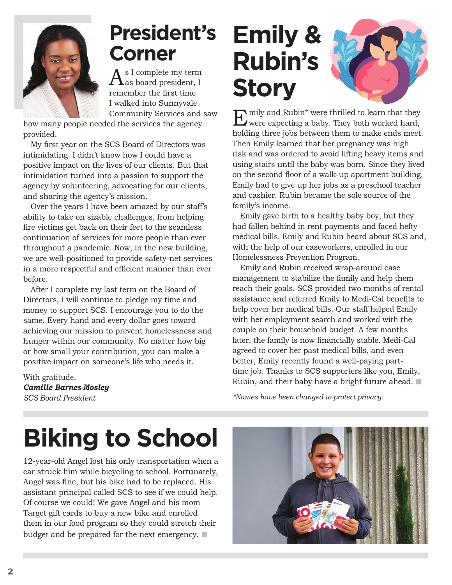

## **President's Corner**

 $\mathrm{A}^\mathrm{s\,I\,complete\,my\,term}_{\mathrm{as\,board\,president,\,I}}$ remember the first time I walked into Sunnyvale Community Services and saw

how many people needed the services the agency provided.

My first year on the SCS Board of Directors was intimidating. I didn't know how I could have a positive impact on the lives of our clients. But that intimidation turned into a passion to support the agency by volunteering, advocating for our clients, and sharing the agency's mission.

Over the years I have been amazed by our staff's ability to take on sizable challenges, from helping fire victims get back on their feet to the seamless continuation of services for more people than ever throughout a pandemic. Now, in the new building, we are well-positioned to provide safety-net services in a more respectful and efficient manner than ever before.

After I complete my last term on the Board of Directors, I will continue to pledge my time and money to support SCS. I encourage you to do the same. Every hand and every dollar goes toward achieving our mission to prevent homelessness and hunger within our community. No matter how big or how small your contribution, you can make a positive impact on someone's life who needs it.

With gratitude, *Camille Barnes-Mosley SCS Board President*

## **Emily & Rubin's Story**



**Example 3** and Rubin\* were thrilled to learn that they were expecting a baby. They both worked hard, holding three jobs between them to make ends meet. Then Emily learned that her pregnancy was high risk and was ordered to avoid lifting heavy items and using stairs until the baby was born. Since they lived on the second floor of a walk-up apartment building, Emily had to give up her jobs as a preschool teacher and cashier. Rubin became the sole source of the family's income.

Emily gave birth to a healthy baby boy, but they had fallen behind in rent payments and faced hefty medical bills. Emily and Rubin heard about SCS and, with the help of our caseworkers, enrolled in our Homelessness Prevention Program.

Emily and Rubin received wrap-around case management to stabilize the family and help them reach their goals. SCS provided two months of rental assistance and referred Emily to Medi-Cal benefits to help cover her medical bills. Our staff helped Emily with her employment search and worked with the couple on their household budget. A few months later, the family is now financially stable. Medi-Cal agreed to cover her past medical bills, and even better, Emily recently found a well-paying parttime job. Thanks to SCS supporters like you, Emily, Rubin, and their baby have a bright future ahead.  $\blacksquare$ 

*\*Names have been changed to protect privacy.*

# **Biking to School**

12-year-old Angel lost his only transportation when a car struck him while bicycling to school. Fortunately, Angel was fine, but his bike had to be replaced. His assistant principal called SCS to see if we could help. Of course we could! We gave Angel and his mom Target gift cards to buy a new bike and enrolled them in our food program so they could stretch their budget and be prepared for the next emergency.  $\blacksquare$ 

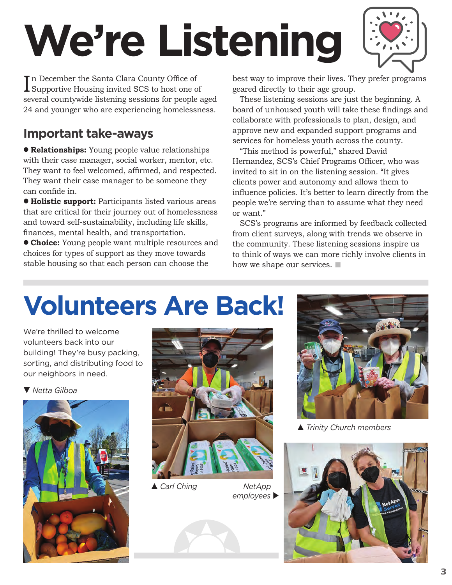# **We're Listening**



In December the Santa Clara County Office of<br>Supportive Housing invited SCS to host one of In December the Santa Clara County Office of several countywide listening sessions for people aged 24 and younger who are experiencing homelessness.

#### **Important take-aways**

**e Relationships:** Young people value relationships with their case manager, social worker, mentor, etc. They want to feel welcomed, affirmed, and respected. They want their case manager to be someone they can confide in.

 $\bullet$  **Holistic support:** Participants listed various areas that are critical for their journey out of homelessness and toward self-sustainability, including life skills, finances, mental health, and transportation.

**Choice:** Young people want multiple resources and choices for types of support as they move towards stable housing so that each person can choose the

best way to improve their lives. They prefer programs geared directly to their age group.

These listening sessions are just the beginning. A board of unhoused youth will take these findings and collaborate with professionals to plan, design, and approve new and expanded support programs and services for homeless youth across the county.

"This method is powerful," shared David Hernandez, SCS's Chief Programs Officer, who was invited to sit in on the listening session. "It gives clients power and autonomy and allows them to influence policies. It's better to learn directly from the people we're serving than to assume what they need or want."

SCS's programs are informed by feedback collected from client surveys, along with trends we observe in the community. These listening sessions inspire us to think of ways we can more richly involve clients in how we shape our services.  $\blacksquare$ 

# **Volunteers Are Back!**

We're thrilled to welcome volunteers back into our building! They're busy packing, sorting, and distributing food to our neighbors in need.

▼ Netta Gilboa





**▲ Carl Ching** 

employees  $\blacktriangleright$  *NetApp* 





p *Trinity Church members*